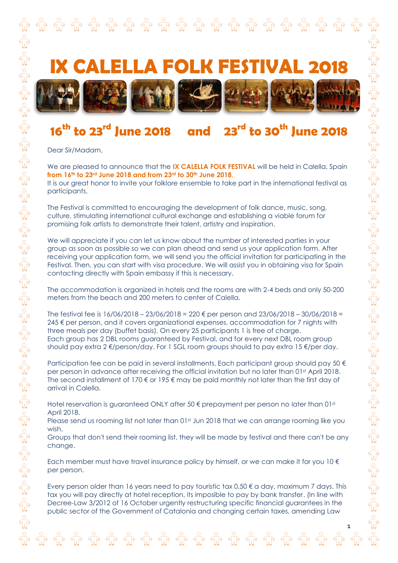

## **16th to 23rd June 2018 and 23rd to 30th June 2018**

Dear Sir/Madam,

We are pleased to announce that the **IX CALELLA FOLK FESTIVAL** will be held in Calella, Spain **from 16th to 23rd June 2018 and from 23rd to 30th June 2018**.

It is our great honor to invite your folklore ensemble to take part in the international festival as participants.

The Festival is committed to encouraging the development of folk dance, music, song, culture, stimulating international cultural exchange and establishing a viable forum for promising folk artists to demonstrate their talent, artistry and inspiration.

We will appreciate if you can let us know about the number of interested parties in your group as soon as possible so we can plan ahead and send us your application form. After receiving your application form, we will send you the official invitation for participating in the Festival. Then, you can start with visa procedure. We will assist you in obtaining visa for Spain contacting directly with Spain embassy if this is necessary.

The accommodation is organized in hotels and the rooms are with 2-4 beds and only 50-200 meters from the beach and 200 meters to center of Calella.

The festival fee is  $16/06/2018 - 23/06/2018 = 220 \text{ } \infty$  per person and  $23/06/2018 - 30/06/2018 =$ 245 € per person, and it covers organizational expenses, accommodation for 7 nights with three meals per day (buffet basis). On every 25 participants 1 is free of charge. Each group has 2 DBL rooms guaranteed by Festival, and for every next DBL room group should pay extra 2 €/person/day. For 1 SGL room groups should to pay extra 15 €/per day.

Participation fee can be paid in several installments. Each participant group should pay 50  $\epsilon$ per person in advance after receiving the official invitation but no later than 01st April 2018. The second installment of 170  $\epsilon$  or 195  $\epsilon$  may be paid monthly not later than the first day of arrival in Calella.

Hotel reservation is guaranteed ONLY after 50 € prepayment per person no later than 01st April 2018.

Please send us rooming list not later than 01st Jun 2018 that we can arrange rooming like you wish.

Groups that don't send their rooming list, they will be made by festival and there can't be any change.

Each member must have travel insurance policy by himself, or we can make it for you  $10 \in$ per person.

Every person older than 16 years need to pay touristic tax 0,50  $\epsilon$  a day, maximum 7 days. This tax you will pay directly at hotel reception, its imposible to pay by bank transfer. (In line with Decree-Law 3/2012 of 16 October urgently restructuring specific financial guarantees in the public sector of the Government of Catalonia and changing certain taxes, amending Law

1